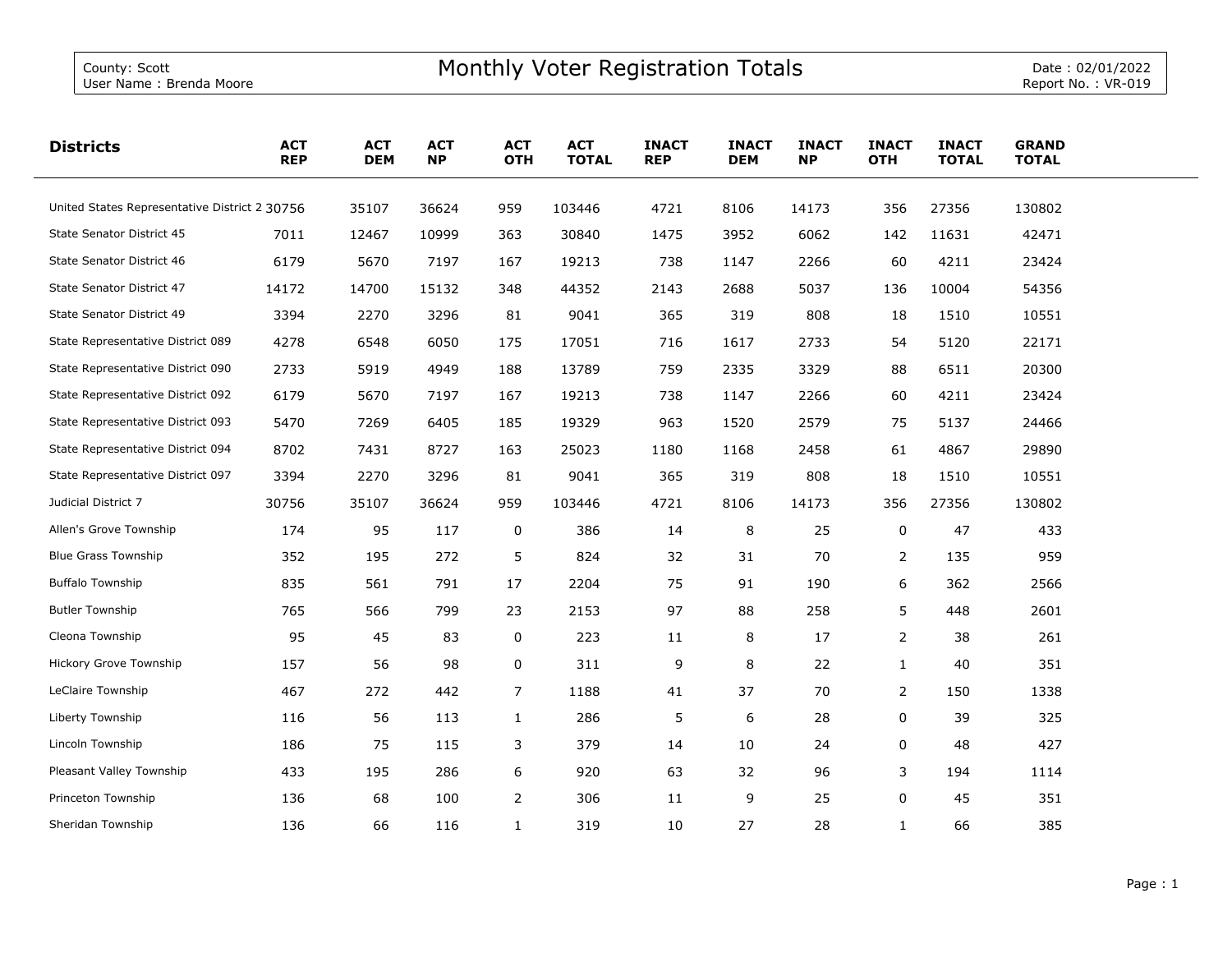| <b>Districts</b>                              | <b>ACT</b><br><b>REP</b> | <b>ACT</b><br><b>DEM</b> | <b>ACT</b><br><b>NP</b> | <b>ACT</b><br><b>OTH</b> | <b>ACT</b><br><b>TOTAL</b> | <b>INACT</b><br><b>REP</b> | <b>INACT</b><br><b>DEM</b> | <b>INACT</b><br><b>NP</b> | <b>INACT</b><br><b>OTH</b> | <b>INACT</b><br><b>TOTAL</b> | <b>GRAND</b><br><b>TOTAL</b> |  |
|-----------------------------------------------|--------------------------|--------------------------|-------------------------|--------------------------|----------------------------|----------------------------|----------------------------|---------------------------|----------------------------|------------------------------|------------------------------|--|
| United States Representative District 2 30756 |                          | 35107                    | 36624                   | 959                      | 103446                     | 4721                       | 8106                       | 14173                     | 356                        | 27356                        | 130802                       |  |
| State Senator District 45                     | 7011                     | 12467                    | 10999                   | 363                      | 30840                      | 1475                       | 3952                       | 6062                      | 142                        | 11631                        | 42471                        |  |
| State Senator District 46                     | 6179                     | 5670                     | 7197                    | 167                      | 19213                      | 738                        | 1147                       | 2266                      | 60                         | 4211                         | 23424                        |  |
| State Senator District 47                     | 14172                    | 14700                    | 15132                   | 348                      | 44352                      | 2143                       | 2688                       | 5037                      | 136                        | 10004                        | 54356                        |  |
| State Senator District 49                     | 3394                     | 2270                     | 3296                    | 81                       | 9041                       | 365                        | 319                        | 808                       | 18                         | 1510                         | 10551                        |  |
| State Representative District 089             | 4278                     | 6548                     | 6050                    | 175                      | 17051                      | 716                        | 1617                       | 2733                      | 54                         | 5120                         | 22171                        |  |
| State Representative District 090             | 2733                     | 5919                     | 4949                    | 188                      | 13789                      | 759                        | 2335                       | 3329                      | 88                         | 6511                         | 20300                        |  |
| State Representative District 092             | 6179                     | 5670                     | 7197                    | 167                      | 19213                      | 738                        | 1147                       | 2266                      | 60                         | 4211                         | 23424                        |  |
| State Representative District 093             | 5470                     | 7269                     | 6405                    | 185                      | 19329                      | 963                        | 1520                       | 2579                      | 75                         | 5137                         | 24466                        |  |
| State Representative District 094             | 8702                     | 7431                     | 8727                    | 163                      | 25023                      | 1180                       | 1168                       | 2458                      | 61                         | 4867                         | 29890                        |  |
| State Representative District 097             | 3394                     | 2270                     | 3296                    | 81                       | 9041                       | 365                        | 319                        | 808                       | 18                         | 1510                         | 10551                        |  |
| Judicial District 7                           | 30756                    | 35107                    | 36624                   | 959                      | 103446                     | 4721                       | 8106                       | 14173                     | 356                        | 27356                        | 130802                       |  |
| Allen's Grove Township                        | 174                      | 95                       | 117                     | 0                        | 386                        | 14                         | 8                          | 25                        | 0                          | 47                           | 433                          |  |
| <b>Blue Grass Township</b>                    | 352                      | 195                      | 272                     | 5                        | 824                        | 32                         | 31                         | 70                        | $\overline{2}$             | 135                          | 959                          |  |
| <b>Buffalo Township</b>                       | 835                      | 561                      | 791                     | 17                       | 2204                       | 75                         | 91                         | 190                       | 6                          | 362                          | 2566                         |  |
| <b>Butler Township</b>                        | 765                      | 566                      | 799                     | 23                       | 2153                       | 97                         | 88                         | 258                       | 5                          | 448                          | 2601                         |  |
| Cleona Township                               | 95                       | 45                       | 83                      | 0                        | 223                        | 11                         | 8                          | 17                        | $\overline{2}$             | 38                           | 261                          |  |
| Hickory Grove Township                        | 157                      | 56                       | 98                      | 0                        | 311                        | 9                          | 8                          | 22                        | $\mathbf{1}$               | 40                           | 351                          |  |
| LeClaire Township                             | 467                      | 272                      | 442                     | 7                        | 1188                       | 41                         | 37                         | 70                        | $\overline{2}$             | 150                          | 1338                         |  |
| Liberty Township                              | 116                      | 56                       | 113                     | $\mathbf{1}$             | 286                        | 5                          | 6                          | 28                        | $\mathbf 0$                | 39                           | 325                          |  |
| Lincoln Township                              | 186                      | 75                       | 115                     | 3                        | 379                        | 14                         | 10                         | 24                        | 0                          | 48                           | 427                          |  |
| Pleasant Valley Township                      | 433                      | 195                      | 286                     | 6                        | 920                        | 63                         | 32                         | 96                        | 3                          | 194                          | 1114                         |  |
| Princeton Township                            | 136                      | 68                       | 100                     | $\mathbf{2}$             | 306                        | 11                         | 9                          | 25                        | 0                          | 45                           | 351                          |  |
| Sheridan Township                             | 136                      | 66                       | 116                     | $\mathbf{1}$             | 319                        | 10                         | 27                         | 28                        | $\mathbf{1}$               | 66                           | 385                          |  |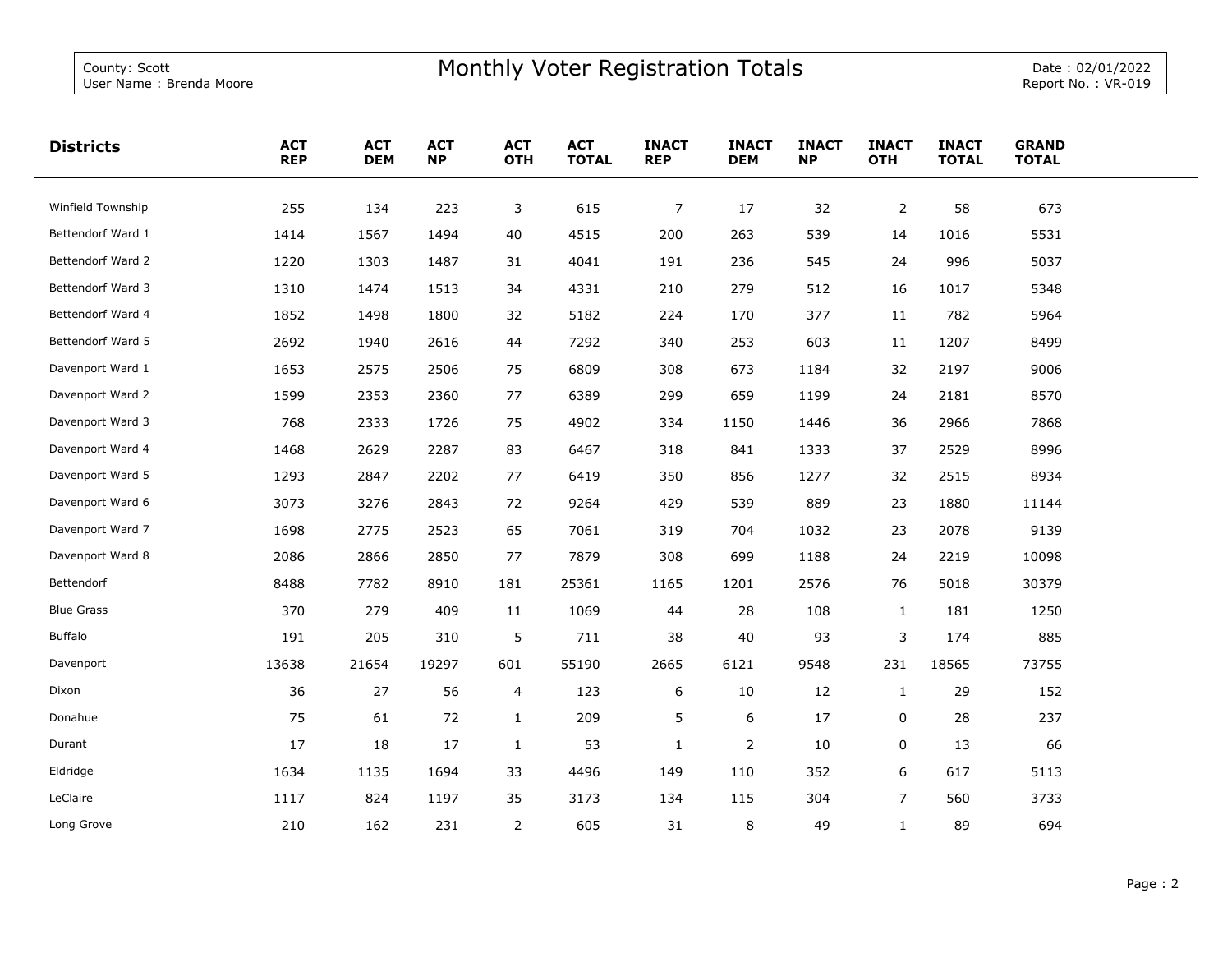L.

| <b>Districts</b>  | <b>ACT</b><br><b>REP</b> | <b>ACT</b><br><b>DEM</b> | <b>ACT</b><br><b>NP</b> | <b>ACT</b><br><b>OTH</b> | <b>ACT</b><br><b>TOTAL</b> | <b>INACT</b><br><b>REP</b> | <b>INACT</b><br><b>DEM</b> | <b>INACT</b><br><b>NP</b> | <b>INACT</b><br><b>OTH</b> | <b>INACT</b><br><b>TOTAL</b> | <b>GRAND</b><br><b>TOTAL</b> |  |
|-------------------|--------------------------|--------------------------|-------------------------|--------------------------|----------------------------|----------------------------|----------------------------|---------------------------|----------------------------|------------------------------|------------------------------|--|
| Winfield Township | 255                      | 134                      | 223                     | 3                        | 615                        | $\overline{7}$             | 17                         | 32                        | $\overline{2}$             | 58                           | 673                          |  |
| Bettendorf Ward 1 | 1414                     | 1567                     | 1494                    | 40                       | 4515                       | 200                        | 263                        | 539                       | 14                         | 1016                         | 5531                         |  |
| Bettendorf Ward 2 | 1220                     | 1303                     | 1487                    | 31                       | 4041                       | 191                        | 236                        | 545                       | 24                         | 996                          | 5037                         |  |
| Bettendorf Ward 3 | 1310                     | 1474                     | 1513                    | 34                       | 4331                       | 210                        | 279                        | 512                       | 16                         | 1017                         | 5348                         |  |
| Bettendorf Ward 4 | 1852                     | 1498                     | 1800                    | 32                       | 5182                       | 224                        | 170                        | 377                       | 11                         | 782                          | 5964                         |  |
| Bettendorf Ward 5 | 2692                     | 1940                     | 2616                    | 44                       | 7292                       | 340                        | 253                        | 603                       | 11                         | 1207                         | 8499                         |  |
| Davenport Ward 1  | 1653                     | 2575                     | 2506                    | 75                       | 6809                       | 308                        | 673                        | 1184                      | 32                         | 2197                         | 9006                         |  |
| Davenport Ward 2  | 1599                     | 2353                     | 2360                    | 77                       | 6389                       | 299                        | 659                        | 1199                      | 24                         | 2181                         | 8570                         |  |
| Davenport Ward 3  | 768                      | 2333                     | 1726                    | 75                       | 4902                       | 334                        | 1150                       | 1446                      | 36                         | 2966                         | 7868                         |  |
| Davenport Ward 4  | 1468                     | 2629                     | 2287                    | 83                       | 6467                       | 318                        | 841                        | 1333                      | 37                         | 2529                         | 8996                         |  |
| Davenport Ward 5  | 1293                     | 2847                     | 2202                    | 77                       | 6419                       | 350                        | 856                        | 1277                      | 32                         | 2515                         | 8934                         |  |
| Davenport Ward 6  | 3073                     | 3276                     | 2843                    | 72                       | 9264                       | 429                        | 539                        | 889                       | 23                         | 1880                         | 11144                        |  |
| Davenport Ward 7  | 1698                     | 2775                     | 2523                    | 65                       | 7061                       | 319                        | 704                        | 1032                      | 23                         | 2078                         | 9139                         |  |
| Davenport Ward 8  | 2086                     | 2866                     | 2850                    | 77                       | 7879                       | 308                        | 699                        | 1188                      | 24                         | 2219                         | 10098                        |  |
| Bettendorf        | 8488                     | 7782                     | 8910                    | 181                      | 25361                      | 1165                       | 1201                       | 2576                      | 76                         | 5018                         | 30379                        |  |
| <b>Blue Grass</b> | 370                      | 279                      | 409                     | 11                       | 1069                       | 44                         | 28                         | 108                       | $\mathbf{1}$               | 181                          | 1250                         |  |
| <b>Buffalo</b>    | 191                      | 205                      | 310                     | 5                        | 711                        | 38                         | 40                         | 93                        | $\mathsf 3$                | 174                          | 885                          |  |
| Davenport         | 13638                    | 21654                    | 19297                   | 601                      | 55190                      | 2665                       | 6121                       | 9548                      | 231                        | 18565                        | 73755                        |  |
| Dixon             | 36                       | 27                       | 56                      | $\overline{4}$           | 123                        | 6                          | 10                         | 12                        | $\mathbf{1}$               | 29                           | 152                          |  |
| Donahue           | 75                       | 61                       | 72                      | $\mathbf{1}$             | 209                        | 5                          | 6                          | 17                        | $\mathbf 0$                | 28                           | 237                          |  |
| Durant            | 17                       | 18                       | 17                      | $\mathbf{1}$             | 53                         | $\mathbf{1}$               | $\overline{2}$             | 10                        | 0                          | 13                           | 66                           |  |
| Eldridge          | 1634                     | 1135                     | 1694                    | 33                       | 4496                       | 149                        | 110                        | 352                       | 6                          | 617                          | 5113                         |  |
| LeClaire          | 1117                     | 824                      | 1197                    | 35                       | 3173                       | 134                        | 115                        | 304                       | $\overline{7}$             | 560                          | 3733                         |  |
| Long Grove        | 210                      | 162                      | 231                     | $\overline{2}$           | 605                        | 31                         | 8                          | 49                        | $\mathbf{1}$               | 89                           | 694                          |  |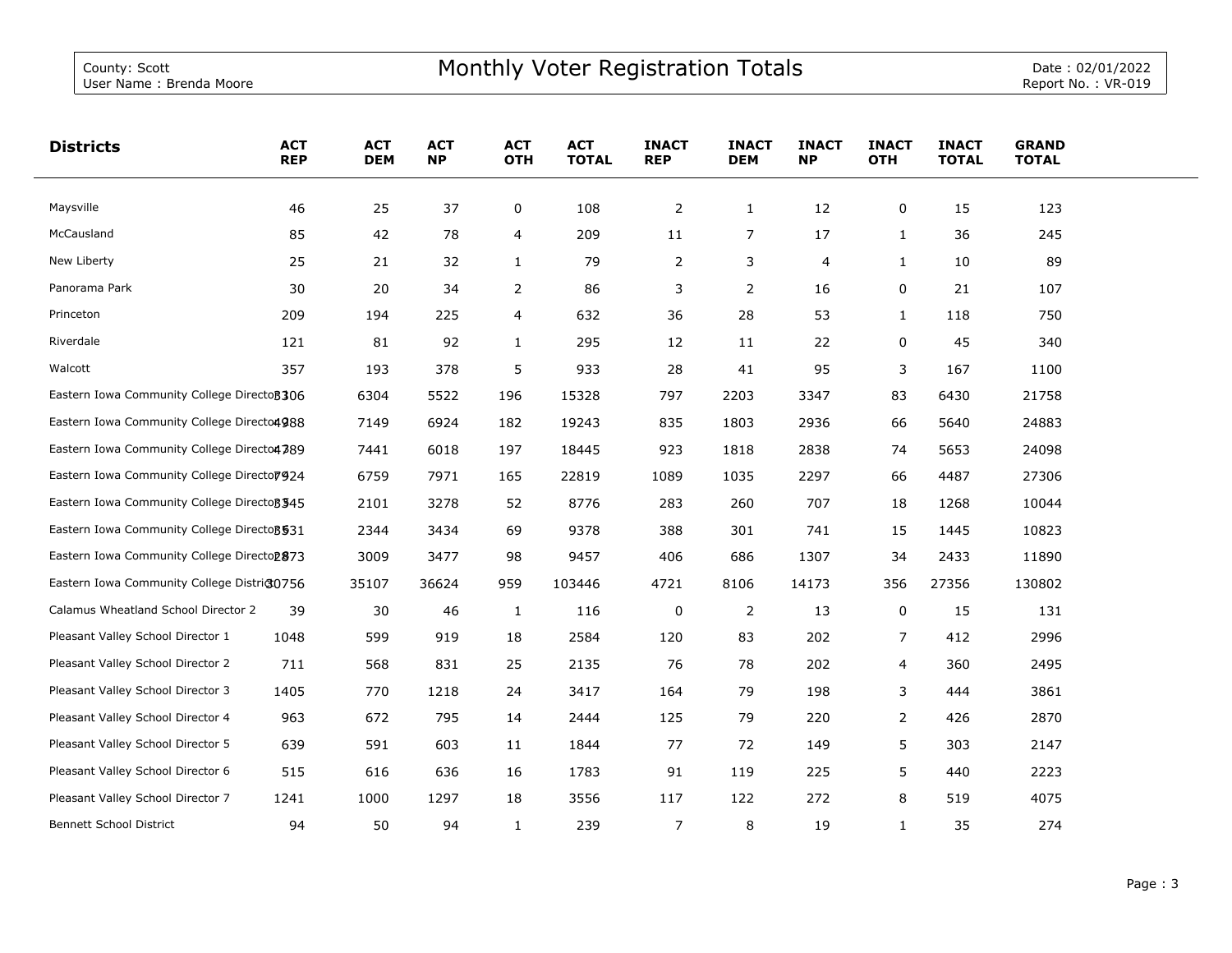| <b>Districts</b>                                       | <b>ACT</b><br><b>REP</b> | <b>ACT</b><br><b>DEM</b> | <b>ACT</b><br><b>NP</b> | <b>ACT</b><br><b>OTH</b> | <b>ACT</b><br><b>TOTAL</b> | <b>INACT</b><br><b>REP</b> | <b>INACT</b><br><b>DEM</b> | <b>INACT</b><br><b>NP</b> | <b>INACT</b><br><b>OTH</b> | <b>INACT</b><br><b>TOTAL</b> | <b>GRAND</b><br><b>TOTAL</b> |  |
|--------------------------------------------------------|--------------------------|--------------------------|-------------------------|--------------------------|----------------------------|----------------------------|----------------------------|---------------------------|----------------------------|------------------------------|------------------------------|--|
| Maysville                                              | 46                       | 25                       | 37                      | 0                        | 108                        | $\overline{2}$             | $\mathbf{1}$               | 12                        | 0                          | 15                           | 123                          |  |
| McCausland                                             | 85                       | 42                       | 78                      | 4                        | 209                        | 11                         | 7                          | 17                        | 1                          | 36                           | 245                          |  |
| New Liberty                                            | 25                       | 21                       | 32                      | $\mathbf{1}$             | 79                         | $\overline{2}$             | 3                          | 4                         | $\mathbf{1}$               | 10                           | 89                           |  |
| Panorama Park                                          | 30                       | 20                       | 34                      | $\overline{2}$           | 86                         | 3                          | 2                          | 16                        | 0                          | 21                           | 107                          |  |
| Princeton                                              | 209                      | 194                      | 225                     | $\overline{4}$           | 632                        | 36                         | 28                         | 53                        | $\mathbf{1}$               | 118                          | 750                          |  |
| Riverdale                                              | 121                      | 81                       | 92                      | $\mathbf{1}$             | 295                        | 12                         | 11                         | 22                        | 0                          | 45                           | 340                          |  |
| Walcott                                                | 357                      | 193                      | 378                     | 5                        | 933                        | 28                         | 41                         | 95                        | 3                          | 167                          | 1100                         |  |
| Eastern Iowa Community College Directo 306             |                          | 6304                     | 5522                    | 196                      | 15328                      | 797                        | 2203                       | 3347                      | 83                         | 6430                         | 21758                        |  |
| Eastern Iowa Community College Directo4988             |                          | 7149                     | 6924                    | 182                      | 19243                      | 835                        | 1803                       | 2936                      | 66                         | 5640                         | 24883                        |  |
| Eastern Iowa Community College Directo4389             |                          | 7441                     | 6018                    | 197                      | 18445                      | 923                        | 1818                       | 2838                      | 74                         | 5653                         | 24098                        |  |
| Eastern Iowa Community College Directo 7924            |                          | 6759                     | 7971                    | 165                      | 22819                      | 1089                       | 1035                       | 2297                      | 66                         | 4487                         | 27306                        |  |
| Eastern Iowa Community College Directo 3345            |                          | 2101                     | 3278                    | 52                       | 8776                       | 283                        | 260                        | 707                       | 18                         | 1268                         | 10044                        |  |
| Eastern Iowa Community College Directo 3531            |                          | 2344                     | 3434                    | 69                       | 9378                       | 388                        | 301                        | 741                       | 15                         | 1445                         | 10823                        |  |
| Eastern Iowa Community College Directo <sub>2873</sub> |                          | 3009                     | 3477                    | 98                       | 9457                       | 406                        | 686                        | 1307                      | 34                         | 2433                         | 11890                        |  |
| Eastern Iowa Community College District0756            |                          | 35107                    | 36624                   | 959                      | 103446                     | 4721                       | 8106                       | 14173                     | 356                        | 27356                        | 130802                       |  |
| Calamus Wheatland School Director 2                    | 39                       | 30                       | 46                      | 1                        | 116                        | 0                          | 2                          | 13                        | 0                          | 15                           | 131                          |  |
| Pleasant Valley School Director 1                      | 1048                     | 599                      | 919                     | 18                       | 2584                       | 120                        | 83                         | 202                       | $\overline{7}$             | 412                          | 2996                         |  |
| Pleasant Valley School Director 2                      | 711                      | 568                      | 831                     | 25                       | 2135                       | 76                         | 78                         | 202                       | 4                          | 360                          | 2495                         |  |
| Pleasant Valley School Director 3                      | 1405                     | 770                      | 1218                    | 24                       | 3417                       | 164                        | 79                         | 198                       | 3                          | 444                          | 3861                         |  |
| Pleasant Valley School Director 4                      | 963                      | 672                      | 795                     | 14                       | 2444                       | 125                        | 79                         | 220                       | $\overline{2}$             | 426                          | 2870                         |  |
| Pleasant Valley School Director 5                      | 639                      | 591                      | 603                     | 11                       | 1844                       | 77                         | 72                         | 149                       | 5                          | 303                          | 2147                         |  |
| Pleasant Valley School Director 6                      | 515                      | 616                      | 636                     | 16                       | 1783                       | 91                         | 119                        | 225                       | 5                          | 440                          | 2223                         |  |
| Pleasant Valley School Director 7                      | 1241                     | 1000                     | 1297                    | 18                       | 3556                       | 117                        | 122                        | 272                       | 8                          | 519                          | 4075                         |  |
| <b>Bennett School District</b>                         | 94                       | 50                       | 94                      | $\mathbf{1}$             | 239                        | $\overline{7}$             | 8                          | 19                        | $\mathbf{1}$               | 35                           | 274                          |  |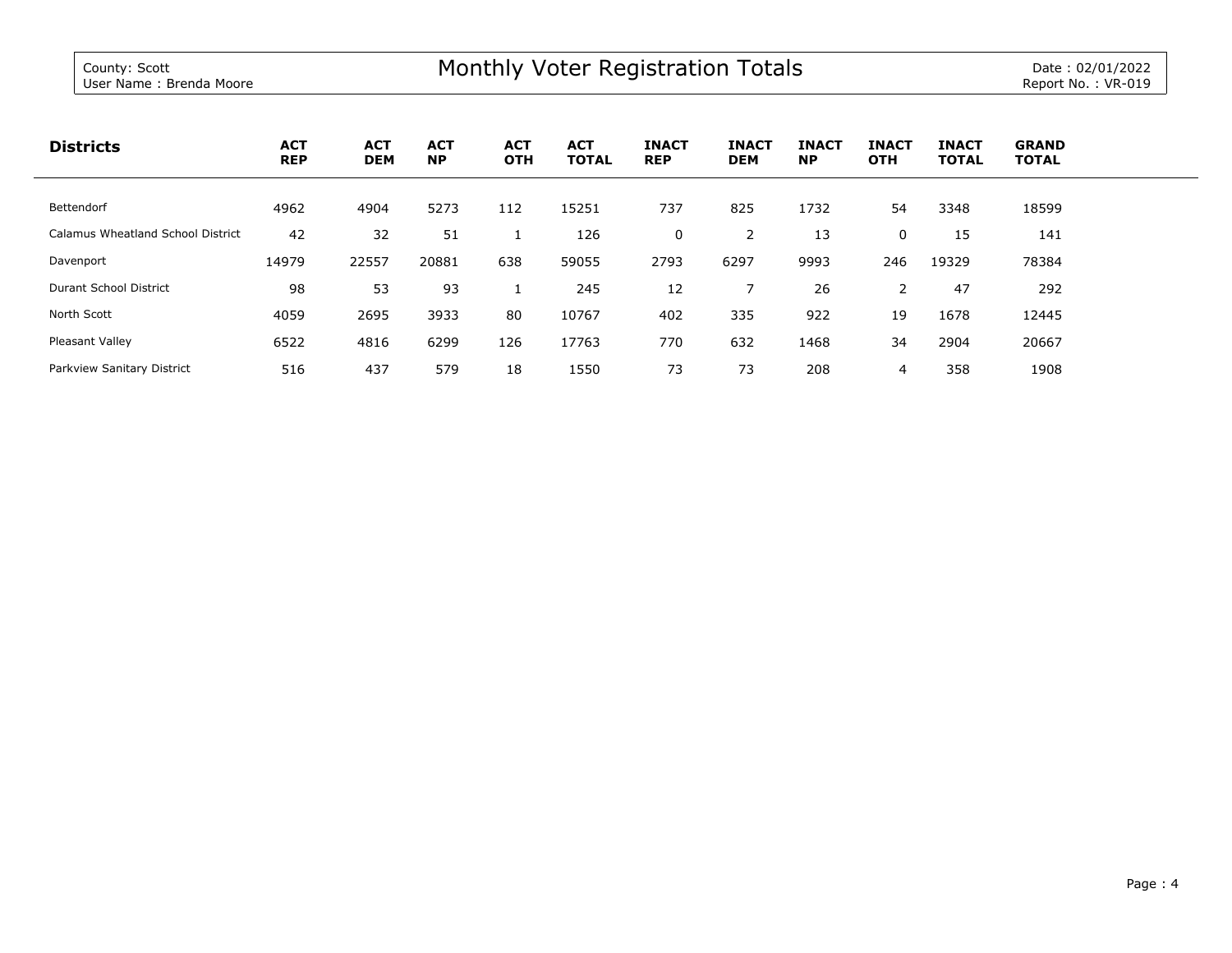| <b>Districts</b>                  | <b>ACT</b><br><b>REP</b> | <b>ACT</b><br><b>DEM</b> | <b>ACT</b><br><b>NP</b> | <b>ACT</b><br><b>OTH</b> | <b>ACT</b><br><b>TOTAL</b> | <b>INACT</b><br><b>REP</b> | <b>INACT</b><br><b>DEM</b> | <b>INACT</b><br><b>NP</b> | <b>INACT</b><br><b>OTH</b> | <b>INACT</b><br><b>TOTAL</b> | <b>GRAND</b><br><b>TOTAL</b> |
|-----------------------------------|--------------------------|--------------------------|-------------------------|--------------------------|----------------------------|----------------------------|----------------------------|---------------------------|----------------------------|------------------------------|------------------------------|
| Bettendorf                        | 4962                     | 4904                     | 5273                    | 112                      | 15251                      | 737                        | 825                        | 1732                      | 54                         | 3348                         | 18599                        |
| Calamus Wheatland School District | 42                       | 32                       | 51                      |                          | 126                        | 0                          | 2                          | 13                        | 0                          | 15                           | 141                          |
| Davenport                         | 14979                    | 22557                    | 20881                   | 638                      | 59055                      | 2793                       | 6297                       | 9993                      | 246                        | 19329                        | 78384                        |
| Durant School District            | 98                       | 53                       | 93                      |                          | 245                        | 12                         |                            | 26                        | 2                          | 47                           | 292                          |
| North Scott                       | 4059                     | 2695                     | 3933                    | 80                       | 10767                      | 402                        | 335                        | 922                       | 19                         | 1678                         | 12445                        |
| Pleasant Valley                   | 6522                     | 4816                     | 6299                    | 126                      | 17763                      | 770                        | 632                        | 1468                      | 34                         | 2904                         | 20667                        |
| Parkview Sanitary District        | 516                      | 437                      | 579                     | 18                       | 1550                       | 73                         | 73                         | 208                       | 4                          | 358                          | 1908                         |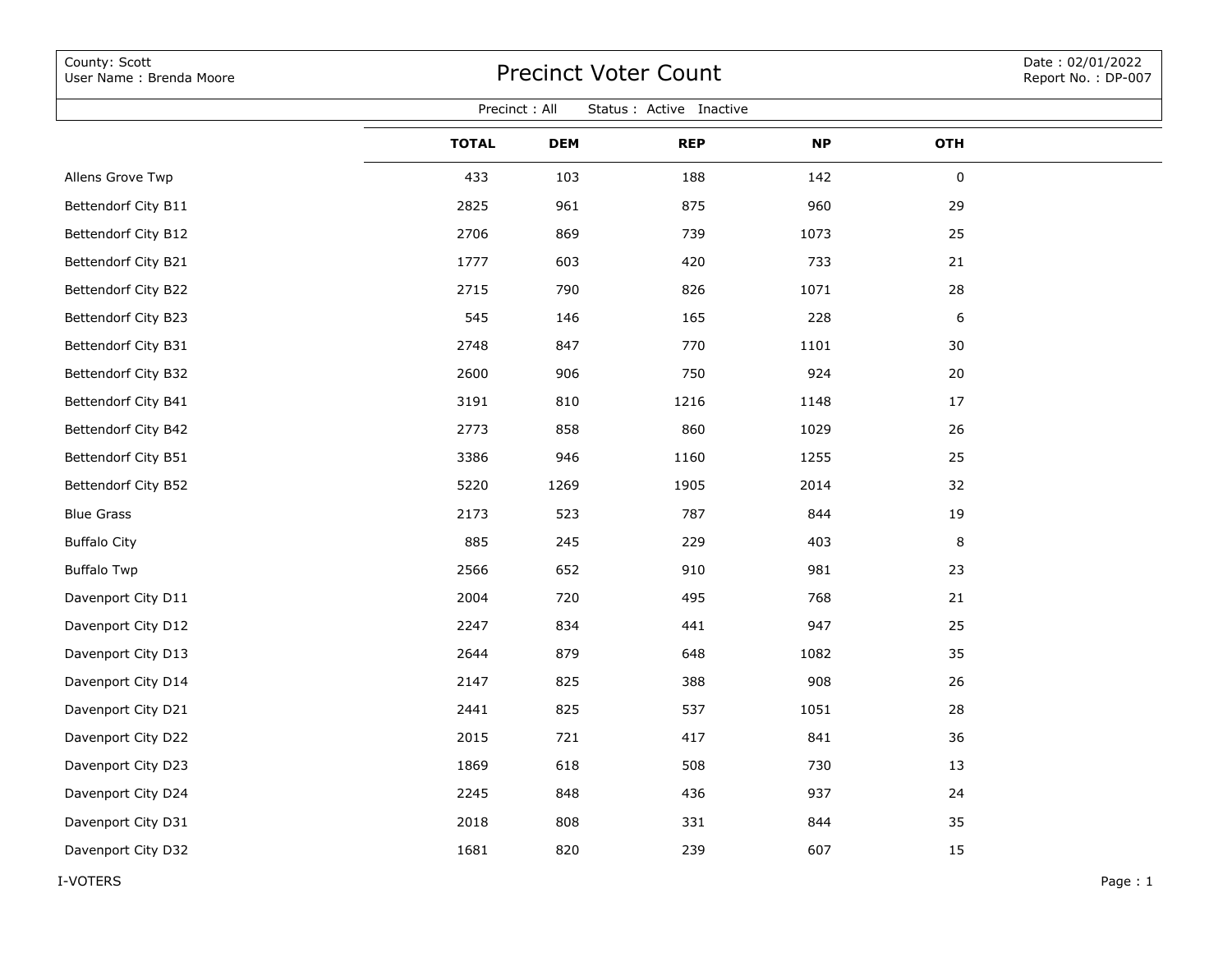| County: Scott<br>User Name: Brenda Moore  | <b>Precinct Voter Count</b> |            |            |           |                  |  |  |  |  |  |  |
|-------------------------------------------|-----------------------------|------------|------------|-----------|------------------|--|--|--|--|--|--|
| Precinct: All<br>Status : Active Inactive |                             |            |            |           |                  |  |  |  |  |  |  |
|                                           | <b>TOTAL</b>                | <b>DEM</b> | <b>REP</b> | <b>NP</b> | OTH              |  |  |  |  |  |  |
| Allens Grove Twp                          | 433                         | 103        | 188        | 142       | 0                |  |  |  |  |  |  |
| Bettendorf City B11                       | 2825                        | 961        | 875        | 960       | 29               |  |  |  |  |  |  |
| Bettendorf City B12                       | 2706                        | 869        | 739        | 1073      | 25               |  |  |  |  |  |  |
| Bettendorf City B21                       | 1777                        | 603        | 420        | 733       | 21               |  |  |  |  |  |  |
| Bettendorf City B22                       | 2715                        | 790        | 826        | 1071      | 28               |  |  |  |  |  |  |
| Bettendorf City B23                       | 545                         | 146        | 165        | 228       | $\boldsymbol{6}$ |  |  |  |  |  |  |
| Bettendorf City B31                       | 2748                        | 847        | 770        | 1101      | 30               |  |  |  |  |  |  |
| Bettendorf City B32                       | 2600                        | 906        | 750        | 924       | 20               |  |  |  |  |  |  |
| Bettendorf City B41                       | 3191                        | 810        | 1216       | 1148      | 17               |  |  |  |  |  |  |
| Bettendorf City B42                       | 2773                        | 858        | 860        | 1029      | 26               |  |  |  |  |  |  |
| Bettendorf City B51                       | 3386                        | 946        | 1160       | 1255      | 25               |  |  |  |  |  |  |
| Bettendorf City B52                       | 5220                        | 1269       | 1905       | 2014      | 32               |  |  |  |  |  |  |
| <b>Blue Grass</b>                         | 2173                        | 523        | 787        | 844       | 19               |  |  |  |  |  |  |
| <b>Buffalo City</b>                       | 885                         | 245        | 229        | 403       | 8                |  |  |  |  |  |  |
| <b>Buffalo Twp</b>                        | 2566                        | 652        | 910        | 981       | 23               |  |  |  |  |  |  |
| Davenport City D11                        | 2004                        | 720        | 495        | 768       | 21               |  |  |  |  |  |  |
| Davenport City D12                        | 2247                        | 834        | 441        | 947       | 25               |  |  |  |  |  |  |
| Davenport City D13                        | 2644                        | 879        | 648        | 1082      | 35               |  |  |  |  |  |  |
| Davenport City D14                        | 2147                        | 825        | 388        | 908       | 26               |  |  |  |  |  |  |
| Davenport City D21                        | 2441                        | 825        | 537        | 1051      | 28               |  |  |  |  |  |  |
| Davenport City D22                        | 2015                        | 721        | 417        | 841       | 36               |  |  |  |  |  |  |
| Davenport City D23                        | 1869                        | 618        | 508        | 730       | 13               |  |  |  |  |  |  |
| Davenport City D24                        | 2245                        | 848        | 436        | 937       | 24               |  |  |  |  |  |  |
| Davenport City D31                        | 2018                        | 808        | 331        | 844       | 35               |  |  |  |  |  |  |
| Davenport City D32                        | 1681                        | 820        | 239        | 607       | 15               |  |  |  |  |  |  |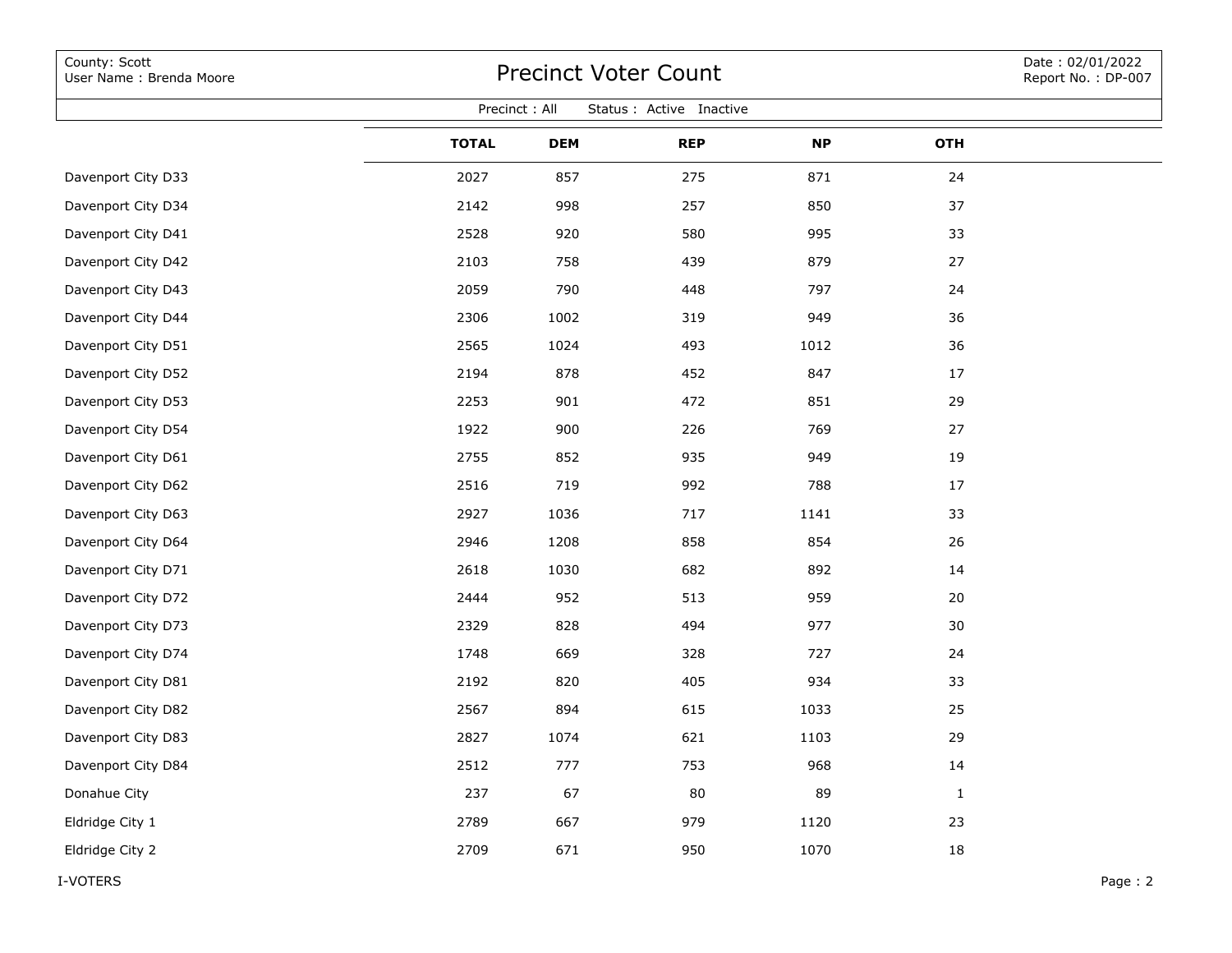| County: Scott<br>User Name: Brenda Moore  | <b>Precinct Voter Count</b> | Date: 02/01/2022<br>Report No.: DP-007 |            |           |              |         |  |  |  |  |  |  |
|-------------------------------------------|-----------------------------|----------------------------------------|------------|-----------|--------------|---------|--|--|--|--|--|--|
| Precinct: All<br>Status : Active Inactive |                             |                                        |            |           |              |         |  |  |  |  |  |  |
|                                           | <b>TOTAL</b>                | <b>DEM</b>                             | <b>REP</b> | <b>NP</b> | <b>OTH</b>   |         |  |  |  |  |  |  |
| Davenport City D33                        | 2027                        | 857                                    | 275        | 871       | 24           |         |  |  |  |  |  |  |
| Davenport City D34                        | 2142                        | 998                                    | 257        | 850       | 37           |         |  |  |  |  |  |  |
| Davenport City D41                        | 2528                        | 920                                    | 580        | 995       | 33           |         |  |  |  |  |  |  |
| Davenport City D42                        | 2103                        | 758                                    | 439        | 879       | 27           |         |  |  |  |  |  |  |
| Davenport City D43                        | 2059                        | 790                                    | 448        | 797       | 24           |         |  |  |  |  |  |  |
| Davenport City D44                        | 2306                        | 1002                                   | 319        | 949       | 36           |         |  |  |  |  |  |  |
| Davenport City D51                        | 2565                        | 1024                                   | 493        | 1012      | 36           |         |  |  |  |  |  |  |
| Davenport City D52                        | 2194                        | 878                                    | 452        | 847       | 17           |         |  |  |  |  |  |  |
| Davenport City D53                        | 2253                        | 901                                    | 472        | 851       | 29           |         |  |  |  |  |  |  |
| Davenport City D54                        | 1922                        | 900                                    | 226        | 769       | 27           |         |  |  |  |  |  |  |
| Davenport City D61                        | 2755                        | 852                                    | 935        | 949       | 19           |         |  |  |  |  |  |  |
| Davenport City D62                        | 2516                        | 719                                    | 992        | 788       | 17           |         |  |  |  |  |  |  |
| Davenport City D63                        | 2927                        | 1036                                   | 717        | 1141      | 33           |         |  |  |  |  |  |  |
| Davenport City D64                        | 2946                        | 1208                                   | 858        | 854       | 26           |         |  |  |  |  |  |  |
| Davenport City D71                        | 2618                        | 1030                                   | 682        | 892       | 14           |         |  |  |  |  |  |  |
| Davenport City D72                        | 2444                        | 952                                    | 513        | 959       | 20           |         |  |  |  |  |  |  |
| Davenport City D73                        | 2329                        | 828                                    | 494        | 977       | 30           |         |  |  |  |  |  |  |
| Davenport City D74                        | 1748                        | 669                                    | 328        | 727       | 24           |         |  |  |  |  |  |  |
| Davenport City D81                        | 2192                        | 820                                    | 405        | 934       | 33           |         |  |  |  |  |  |  |
| Davenport City D82                        | 2567                        | 894                                    | 615        | 1033      | 25           |         |  |  |  |  |  |  |
| Davenport City D83                        | 2827                        | 1074                                   | 621        | 1103      | 29           |         |  |  |  |  |  |  |
| Davenport City D84                        | 2512                        | 777                                    | 753        | 968       | 14           |         |  |  |  |  |  |  |
| Donahue City                              | 237                         | 67                                     | 80         | 89        | $\mathbf{1}$ |         |  |  |  |  |  |  |
| Eldridge City 1                           | 2789                        | 667                                    | 979        | 1120      | 23           |         |  |  |  |  |  |  |
| Eldridge City 2                           | 2709                        | 671                                    | 950        | 1070      | 18           |         |  |  |  |  |  |  |
| I-VOTERS                                  |                             |                                        |            |           |              | Page: 2 |  |  |  |  |  |  |